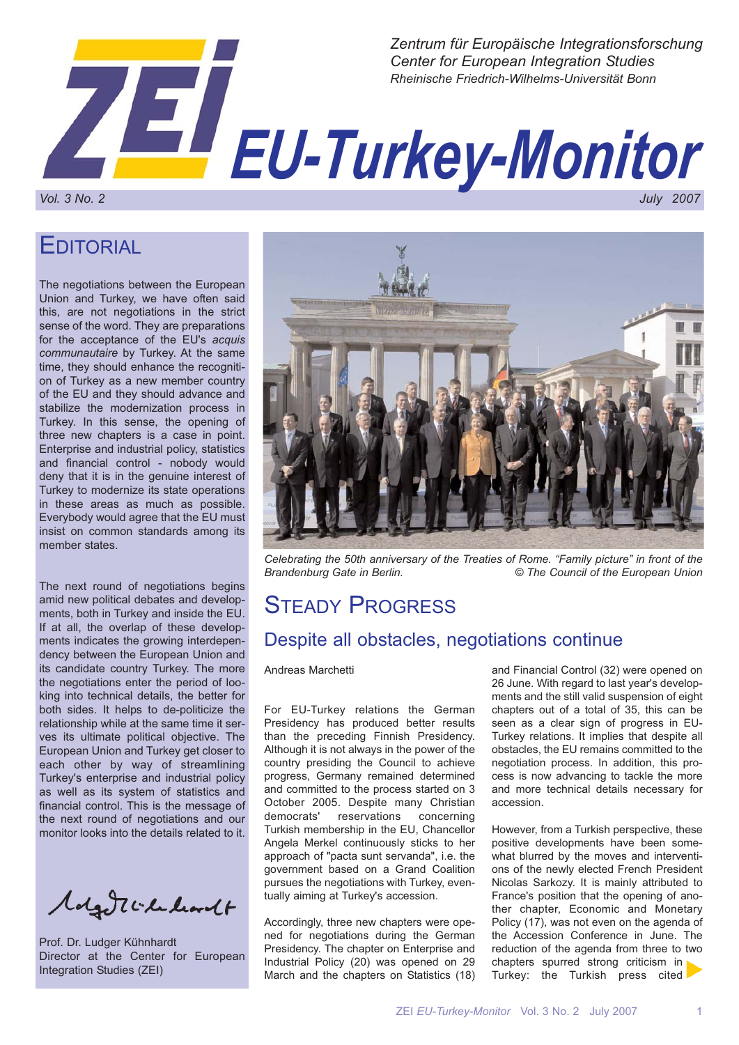

EDITORIAL

The negotiations between the European Union and Turkey, we have often said this, are not negotiations in the strict sense of the word. They are preparations for the acceptance of the EU's *acquis communautaire* by Turkey. At the same time, they should enhance the recognition of Turkey as a new member country of the EU and they should advance and stabilize the modernization process in Turkey. In this sense, the opening of three new chapters is a case in point. Enterprise and industrial policy, statistics and financial control - nobody would deny that it is in the genuine interest of Turkey to modernize its state operations in these areas as much as possible. Everybody would agree that the EU must insist on common standards among its member states.

The next round of negotiations begins amid new political debates and developments, both in Turkey and inside the EU. If at all, the overlap of these developments indicates the growing interdependency between the European Union and its candidate country Turkey. The more the negotiations enter the period of looking into technical details, the better for both sides. It helps to de-politicize the relationship while at the same time it serves its ultimate political objective. The European Union and Turkey get closer to each other by way of streamlining Turkey's enterprise and industrial policy as well as its system of statistics and financial control. This is the message of the next round of negotiations and our monitor looks into the details related to it.

Magdilla learnet

Prof. Dr. Ludger Kühnhardt Director at the Center for European Integration Studies (ZEI)



*Celebrating the 50th anniversary of the Treaties of Rome. "Family picture" in front of the Brandenburg Gate in Berlin. © The Council of the European Union*

## STEADY PROGRESS

### Despite all obstacles, negotiations continue

Andreas Marchetti

For EU-Turkey relations the German Presidency has produced better results than the preceding Finnish Presidency. Although it is not always in the power of the country presiding the Council to achieve progress, Germany remained determined and committed to the process started on 3 October 2005. Despite many Christian democrats' reservations concerning Turkish membership in the EU, Chancellor Angela Merkel continuously sticks to her approach of "pacta sunt servanda", i.e. the government based on a Grand Coalition pursues the negotiations with Turkey, eventually aiming at Turkey's accession.

Accordingly, three new chapters were opened for negotiations during the German Presidency. The chapter on Enterprise and Industrial Policy (20) was opened on 29 March and the chapters on Statistics (18)

and Financial Control (32) were opened on 26 June. With regard to last year's developments and the still valid suspension of eight chapters out of a total of 35, this can be seen as a clear sign of progress in EU-Turkey relations. It implies that despite all obstacles, the EU remains committed to the negotiation process. In addition, this process is now advancing to tackle the more and more technical details necessary for accession.

However, from a Turkish perspective, these positive developments have been somewhat blurred by the moves and interventions of the newly elected French President Nicolas Sarkozy. It is mainly attributed to France's position that the opening of another chapter, Economic and Monetary Policy (17), was not even on the agenda of the Accession Conference in June. The reduction of the agenda from three to two chapters spurred strong criticism in Turkey: the Turkish press cited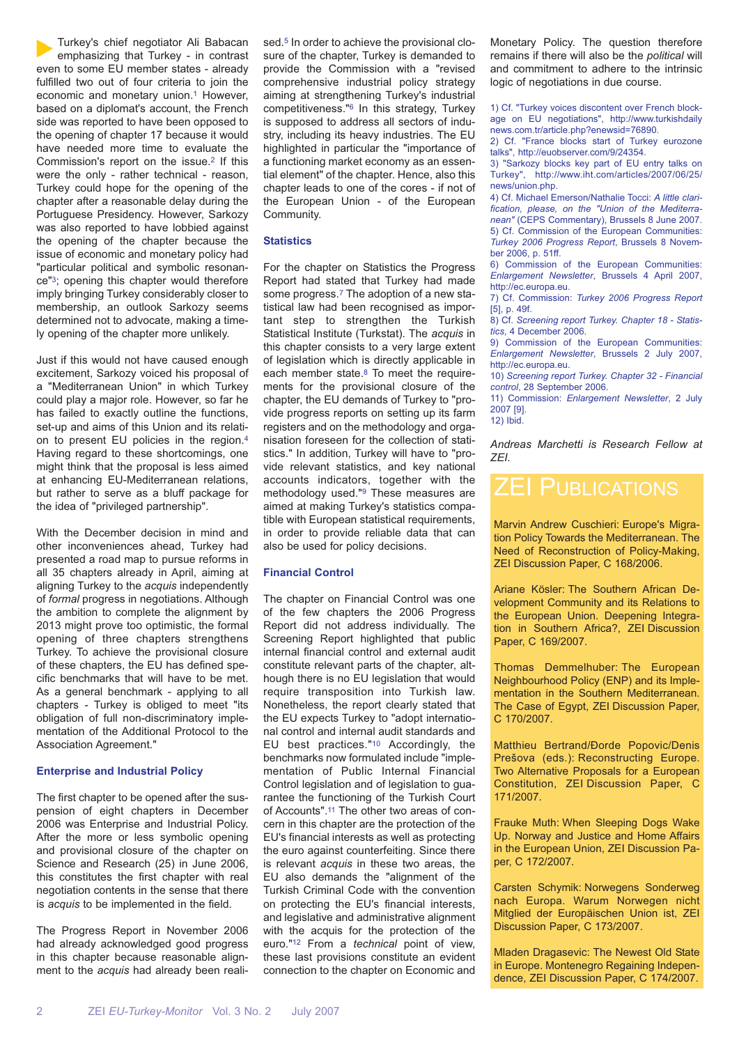Turkey's chief negotiator Ali Babacan emphasizing that Turkey - in contrast even to some EU member states - already fulfilled two out of four criteria to join the economic and monetary union.<sup>1</sup> However, based on a diplomat's account, the French side was reported to have been opposed to the opening of chapter 17 because it would have needed more time to evaluate the Commission's report on the issue.2 If this were the only - rather technical - reason, Turkey could hope for the opening of the chapter after a reasonable delay during the Portuguese Presidency. However, Sarkozy was also reported to have lobbied against the opening of the chapter because the issue of economic and monetary policy had "particular political and symbolic resonance"3; opening this chapter would therefore imply bringing Turkey considerably closer to membership, an outlook Sarkozy seems determined not to advocate, making a timely opening of the chapter more unlikely.

Just if this would not have caused enough excitement, Sarkozy voiced his proposal of a "Mediterranean Union" in which Turkey could play a major role. However, so far he has failed to exactly outline the functions, set-up and aims of this Union and its relation to present EU policies in the region.4 Having regard to these shortcomings, one might think that the proposal is less aimed at enhancing EU-Mediterranean relations, but rather to serve as a bluff package for the idea of "privileged partnership".

With the December decision in mind and other inconveniences ahead, Turkey had presented a road map to pursue reforms in all 35 chapters already in April, aiming at aligning Turkey to the *acquis* independently of *formal* progress in negotiations. Although the ambition to complete the alignment by 2013 might prove too optimistic, the formal opening of three chapters strengthens Turkey. To achieve the provisional closure of these chapters, the EU has defined specific benchmarks that will have to be met. As a general benchmark - applying to all chapters - Turkey is obliged to meet "its obligation of full non-discriminatory implementation of the Additional Protocol to the Association Agreement."

#### **Enterprise and Industrial Policy**

The first chapter to be opened after the suspension of eight chapters in December 2006 was Enterprise and Industrial Policy. After the more or less symbolic opening and provisional closure of the chapter on Science and Research (25) in June 2006, this constitutes the first chapter with real negotiation contents in the sense that there is *acquis* to be implemented in the field.

The Progress Report in November 2006 had already acknowledged good progress in this chapter because reasonable alignment to the *acquis* had already been realised.<sup>5</sup> In order to achieve the provisional closure of the chapter, Turkey is demanded to provide the Commission with a "revised comprehensive industrial policy strategy aiming at strengthening Turkey's industrial competitiveness."6 In this strategy, Turkey is supposed to address all sectors of industry, including its heavy industries. The EU highlighted in particular the "importance of a functioning market economy as an essential element" of the chapter. Hence, also this chapter leads to one of the cores - if not of the European Union - of the European Community.

#### **Statistics**

For the chapter on Statistics the Progress Report had stated that Turkey had made some progress.7 The adoption of a new statistical law had been recognised as important step to strengthen the Turkish Statistical Institute (Turkstat). The *acquis* in this chapter consists to a very large extent of legislation which is directly applicable in each member state.8 To meet the requirements for the provisional closure of the chapter, the EU demands of Turkey to "provide progress reports on setting up its farm registers and on the methodology and organisation foreseen for the collection of statistics." In addition, Turkey will have to "provide relevant statistics, and key national accounts indicators, together with the methodology used."9 These measures are aimed at making Turkey's statistics compatible with European statistical requirements, in order to provide reliable data that can also be used for policy decisions.

#### **Financial Control**

The chapter on Financial Control was one of the few chapters the 2006 Progress Report did not address individually. The Screening Report highlighted that public internal financial control and external audit constitute relevant parts of the chapter, although there is no EU legislation that would require transposition into Turkish law. Nonetheless, the report clearly stated that the EU expects Turkey to "adopt international control and internal audit standards and EU best practices."10 Accordingly, the benchmarks now formulated include "implementation of Public Internal Financial Control legislation and of legislation to guarantee the functioning of the Turkish Court of Accounts".11 The other two areas of concern in this chapter are the protection of the EU's financial interests as well as protecting the euro against counterfeiting. Since there is relevant *acquis* in these two areas, the EU also demands the "alignment of the Turkish Criminal Code with the convention on protecting the EU's financial interests, and legislative and administrative alignment with the acquis for the protection of the euro."12 From a *technical* point of view, these last provisions constitute an evident connection to the chapter on Economic and Monetary Policy. The question therefore remains if there will also be the *political* will and commitment to adhere to the intrinsic logic of negotiations in due course.

1) Cf. "Turkey voices discontent over French blockage on EU negotiations", http://www.turkishdaily news.com.tr/article.php?enewsid=76890.

2) Cf. "France blocks start of Turkey eurozone talks", http://euobserver.com/9/24354.

3) "Sarkozy blocks key part of EU entry talks on Turkey", http://www.iht.com/articles/2007/06/25/ news/union.php.

4) Cf. Michael Emerson/Nathalie Tocci: *A little clarification, please, on the "Union of the Mediterranean"* (CEPS Commentary), Brussels 8 June 2007. 5) Cf. Commission of the European Communities: *Turkey 2006 Progress Report*, Brussels 8 November 2006, p. 51ff.

6) Commission of the European Communities: *Enlargement Newsletter*, Brussels 4 April 2007, http://ec.europa.eu.

7) Cf. Commission: *Turkey 2006 Progress Report* [5], p. 49f.

8) Cf. *Screening report Turkey. Chapter 18 - Statistics*, 4 December 2006.

9) Commission of the European Communities: *Enlargement Newsletter*, Brussels 2 July 2007, http://ec.europa.eu.

10) *Screening report Turkey. Chapter 32 - Financial control*, 28 September 2006.

11) Commission: *Enlargement Newsletter*, 2 July 2007 [9].

12) Ibid.

*Andreas Marchetti is Research Fellow at ZEI.*

### ZEI PUBLICATIONS

Marvin Andrew Cuschieri: Europe's Migration Policy Towards the Mediterranean. The Need of Reconstruction of Policy-Making, ZEI Discussion Paper, C 168/2006.

Ariane Kösler: The Southern African Development Community and its Relations to the European Union. Deepening Integration in Southern Africa?, ZEI Discussion Paper, C 169/2007.

Thomas Demmelhuber: The European Neighbourhood Policy (ENP) and its Implementation in the Southern Mediterranean. The Case of Egypt, ZEI Discussion Paper, C 170/2007.

Matthieu Bertrand/Ðorde Popovic/Denis Prešova (eds.): Reconstructing Europe. Two Alternative Proposals for a European Constitution, ZEI Discussion Paper, C 171/2007.

Frauke Muth: When Sleeping Dogs Wake Up. Norway and Justice and Home Affairs in the European Union, ZEI Discussion Paper, C 172/2007.

Carsten Schymik: Norwegens Sonderweg nach Europa. Warum Norwegen nicht Mitglied der Europäischen Union ist, ZEI Discussion Paper, C 173/2007.

Mladen Dragasevic: The Newest Old State in Europe. Montenegro Regaining Independence, ZEI Discussion Paper, C 174/2007.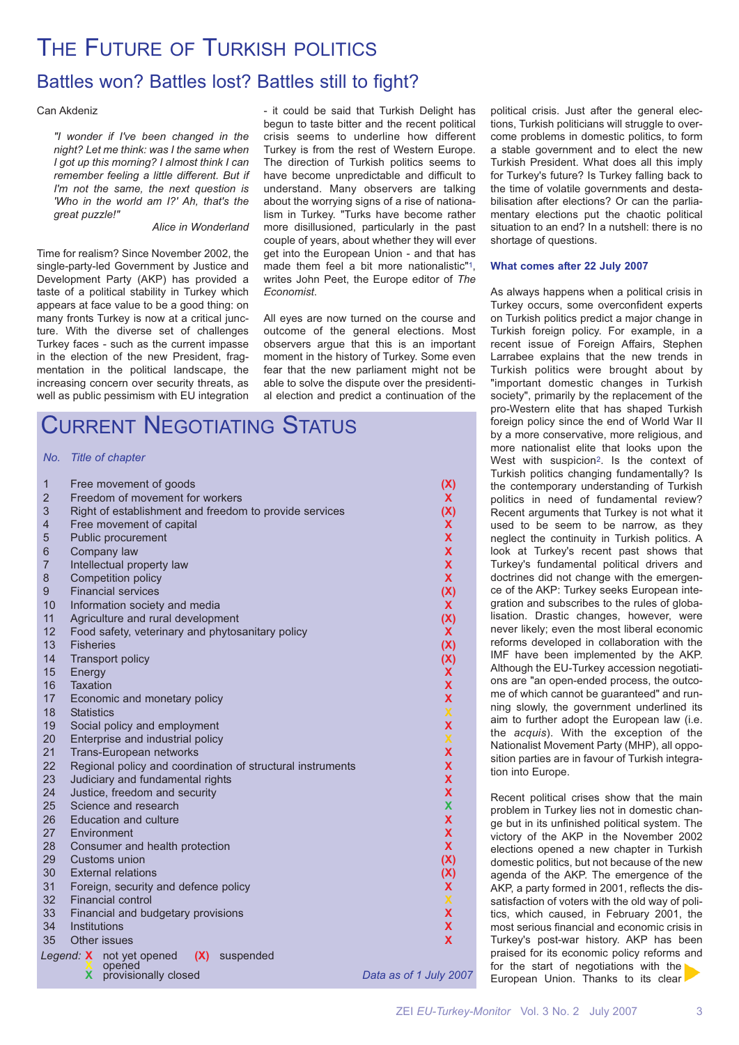# THE FUTURE OF TURKISH POLITICS

### Battles won? Battles lost? Battles still to fight?

#### Can Akdeniz

*"I wonder if I've been changed in the night? Let me think: was I the same when I got up this morning? I almost think I can remember feeling a little different. But if I'm not the same, the next question is 'Who in the world am I?' Ah, that's the great puzzle!"*

*Alice in Wonderland*

Time for realism? Since November 2002, the single-party-led Government by Justice and Development Party (AKP) has provided a taste of a political stability in Turkey which appears at face value to be a good thing: on many fronts Turkey is now at a critical juncture. With the diverse set of challenges Turkey faces - such as the current impasse in the election of the new President, fragmentation in the political landscape, the increasing concern over security threats, as well as public pessimism with EU integration

- it could be said that Turkish Delight has begun to taste bitter and the recent political crisis seems to underline how different Turkey is from the rest of Western Europe. The direction of Turkish politics seems to have become unpredictable and difficult to understand. Many observers are talking about the worrying signs of a rise of nationalism in Turkey. "Turks have become rather more disillusioned, particularly in the past couple of years, about whether they will ever get into the European Union - and that has made them feel a bit more nationalistic"1, writes John Peet, the Europe editor of *The Economist*.

All eyes are now turned on the course and outcome of the general elections. Most observers argue that this is an important moment in the history of Turkey. Some even fear that the new parliament might not be able to solve the dispute over the presidential election and predict a continuation of the

## CURRENT NEGOTIATING STATUS

#### *No. Title of chapter*

| 1              |                                                                 | Free movement of goods                                 | (X)                    |
|----------------|-----------------------------------------------------------------|--------------------------------------------------------|------------------------|
| $\overline{2}$ |                                                                 | Freedom of movement for workers                        | X.                     |
| 3              |                                                                 | Right of establishment and freedom to provide services | (X)                    |
| $\overline{4}$ |                                                                 | Free movement of capital                               | X.                     |
| 5              |                                                                 | Public procurement                                     | X                      |
| 6              |                                                                 | Company law                                            | $\mathbf x$            |
| $\overline{7}$ |                                                                 | Intellectual property law                              | X                      |
| 8              |                                                                 | Competition policy                                     | $\mathbf{x}$           |
| 9              |                                                                 | <b>Financial services</b>                              | (X)                    |
| 10             |                                                                 | Information society and media                          | $\mathbf{X}$           |
| 11             |                                                                 | Agriculture and rural development                      | (X)                    |
| 12             |                                                                 | Food safety, veterinary and phytosanitary policy       | <b>X</b>               |
| 13             | <b>Fisheries</b>                                                |                                                        | (X)                    |
| 14             |                                                                 | <b>Transport policy</b>                                | (X)                    |
| 15             | Energy                                                          |                                                        | X                      |
| 16             | Taxation                                                        |                                                        | X                      |
| 17             |                                                                 | Economic and monetary policy                           | X                      |
| 18             | <b>Statistics</b>                                               |                                                        | $\mathbf x$            |
| 19             |                                                                 | Social policy and employment                           | X                      |
| 20             |                                                                 | Enterprise and industrial policy                       | $\pmb{\mathsf{X}}$     |
| 21             | X<br><b>Trans-European networks</b>                             |                                                        |                        |
| 22             | X<br>Regional policy and coordination of structural instruments |                                                        |                        |
| 23             | Judiciary and fundamental rights<br>X                           |                                                        |                        |
| 24             |                                                                 | Justice, freedom and security                          | X<br>X                 |
| 25<br>26       |                                                                 | Science and research<br>Education and culture          | X                      |
| 27             |                                                                 | Environment                                            | $\mathbf x$            |
| 28             |                                                                 | Consumer and health protection                         | $\mathbf{x}$           |
| 29             |                                                                 | Customs union                                          | (X)                    |
| 30             |                                                                 | <b>External relations</b>                              | (X)                    |
| 31             | Foreign, security and defence policy<br>X.                      |                                                        |                        |
| 32             | <b>Financial control</b><br>$\pmb{\mathsf{X}}$                  |                                                        |                        |
| 33             | X<br>Financial and budgetary provisions                         |                                                        |                        |
| 34             | Institutions<br>X                                               |                                                        |                        |
| 35             |                                                                 | Other issues                                           | X                      |
|                |                                                                 | Legend: X not yet opened<br>(X) suspended              |                        |
|                |                                                                 | opened                                                 |                        |
|                | X                                                               | provisionally closed                                   | Data as of 1 July 2007 |

political crisis. Just after the general elections, Turkish politicians will struggle to overcome problems in domestic politics, to form a stable government and to elect the new Turkish President. What does all this imply for Turkey's future? Is Turkey falling back to the time of volatile governments and destabilisation after elections? Or can the parliamentary elections put the chaotic political situation to an end? In a nutshell: there is no shortage of questions.

#### **What comes after 22 July 2007**

As always happens when a political crisis in Turkey occurs, some overconfident experts on Turkish politics predict a major change in Turkish foreign policy. For example, in a recent issue of Foreign Affairs, Stephen Larrabee explains that the new trends in Turkish politics were brought about by "important domestic changes in Turkish society", primarily by the replacement of the pro-Western elite that has shaped Turkish foreign policy since the end of World War II by a more conservative, more religious, and more nationalist elite that looks upon the West with suspicion2. Is the context of Turkish politics changing fundamentally? Is the contemporary understanding of Turkish politics in need of fundamental review? Recent arguments that Turkey is not what it used to be seem to be narrow, as they neglect the continuity in Turkish politics. A look at Turkey's recent past shows that Turkey's fundamental political drivers and doctrines did not change with the emergence of the AKP: Turkey seeks European integration and subscribes to the rules of globalisation. Drastic changes, however, were never likely; even the most liberal economic reforms developed in collaboration with the IMF have been implemented by the AKP. Although the EU-Turkey accession negotiations are "an open-ended process, the outcome of which cannot be guaranteed" and running slowly, the government underlined its aim to further adopt the European law (i.e. the *acquis*). With the exception of the Nationalist Movement Party (MHP), all opposition parties are in favour of Turkish integration into Europe.

Recent political crises show that the main problem in Turkey lies not in domestic change but in its unfinished political system. The victory of the AKP in the November 2002 elections opened a new chapter in Turkish domestic politics, but not because of the new agenda of the AKP. The emergence of the AKP, a party formed in 2001, reflects the dissatisfaction of voters with the old way of politics, which caused, in February 2001, the most serious financial and economic crisis in Turkey's post-war history. AKP has been praised for its economic policy reforms and for the start of negotiations with the European Union. Thanks to its clear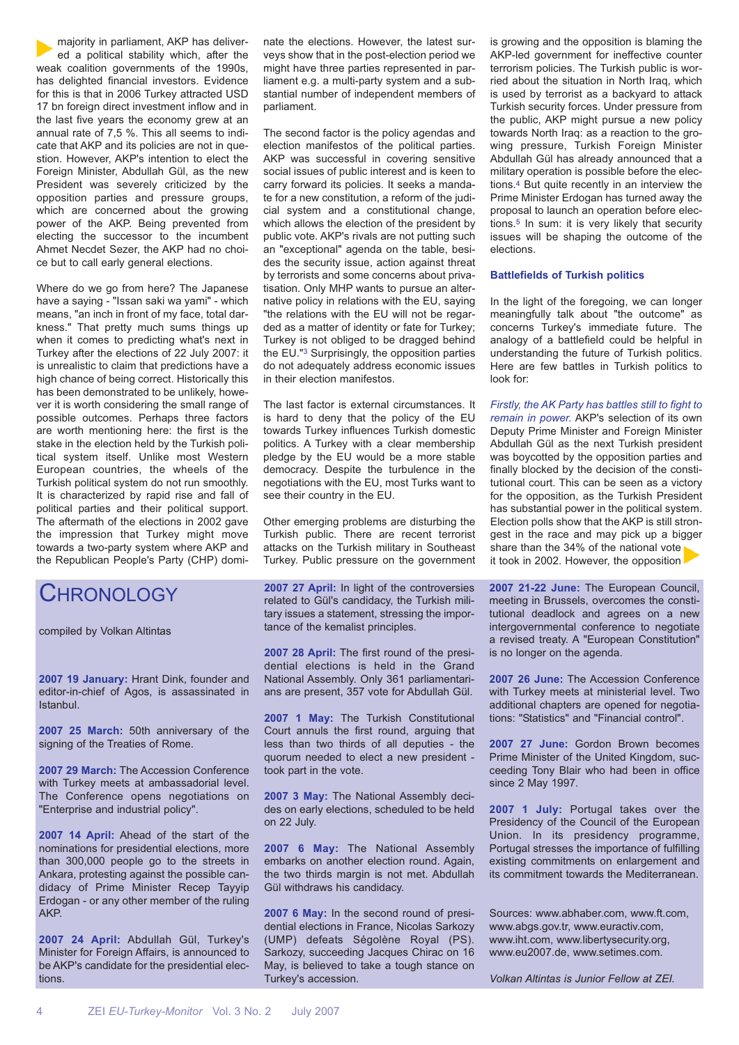majority in parliament, AKP has delivered a political stability which, after the weak coalition governments of the 1990s, has delighted financial investors. Evidence for this is that in 2006 Turkey attracted USD 17 bn foreign direct investment inflow and in the last five years the economy grew at an annual rate of 7,5 %. This all seems to indicate that AKP and its policies are not in question. However, AKP's intention to elect the Foreign Minister, Abdullah Gül, as the new President was severely criticized by the opposition parties and pressure groups, which are concerned about the growing power of the AKP. Being prevented from electing the successor to the incumbent Ahmet Necdet Sezer, the AKP had no choice but to call early general elections.

Where do we go from here? The Japanese have a saying - "Issan saki wa yami" - which means, "an inch in front of my face, total darkness." That pretty much sums things up when it comes to predicting what's next in Turkey after the elections of 22 July 2007: it is unrealistic to claim that predictions have a high chance of being correct. Historically this has been demonstrated to be unlikely, however it is worth considering the small range of possible outcomes. Perhaps three factors are worth mentioning here: the first is the stake in the election held by the Turkish political system itself. Unlike most Western European countries, the wheels of the Turkish political system do not run smoothly. It is characterized by rapid rise and fall of political parties and their political support. The aftermath of the elections in 2002 gave the impression that Turkey might move towards a two-party system where AKP and the Republican People's Party (CHP) domi-

### **CHRONOLOGY**

compiled by Volkan Altintas

**2007 19 January:** Hrant Dink, founder and editor-in-chief of Agos, is assassinated in Istanbul.

**2007 25 March:** 50th anniversary of the signing of the Treaties of Rome.

**2007 29 March:** The Accession Conference with Turkey meets at ambassadorial level. The Conference opens negotiations on "Enterprise and industrial policy".

**2007 14 April:** Ahead of the start of the nominations for presidential elections, more than 300,000 people go to the streets in Ankara, protesting against the possible candidacy of Prime Minister Recep Tayyip Erdogan - or any other member of the ruling AKP.

**2007 24 April:** Abdullah Gül, Turkey's Minister for Foreign Affairs, is announced to be AKP's candidate for the presidential elections.

nate the elections. However, the latest surveys show that in the post-election period we might have three parties represented in parliament e.g. a multi-party system and a substantial number of independent members of parliament.

The second factor is the policy agendas and election manifestos of the political parties. AKP was successful in covering sensitive social issues of public interest and is keen to carry forward its policies. It seeks a mandate for a new constitution, a reform of the judicial system and a constitutional change, which allows the election of the president by public vote. AKP's rivals are not putting such an "exceptional" agenda on the table, besides the security issue, action against threat by terrorists and some concerns about privatisation. Only MHP wants to pursue an alternative policy in relations with the EU, saying "the relations with the EU will not be regarded as a matter of identity or fate for Turkey; Turkey is not obliged to be dragged behind the EU."3 Surprisingly, the opposition parties do not adequately address economic issues in their election manifestos.

The last factor is external circumstances. It is hard to deny that the policy of the EU towards Turkey influences Turkish domestic politics. A Turkey with a clear membership pledge by the EU would be a more stable democracy. Despite the turbulence in the negotiations with the EU, most Turks want to see their country in the EU.

Other emerging problems are disturbing the Turkish public. There are recent terrorist attacks on the Turkish military in Southeast Turkey. Public pressure on the government

**2007 27 April:** In light of the controversies related to Gül's candidacy, the Turkish military issues a statement, stressing the importance of the kemalist principles.

**2007 28 April:** The first round of the presidential elections is held in the Grand National Assembly. Only 361 parliamentarians are present, 357 vote for Abdullah Gül.

**2007 1 May:** The Turkish Constitutional Court annuls the first round, arguing that less than two thirds of all deputies - the quorum needed to elect a new president took part in the vote.

**2007 3 May:** The National Assembly decides on early elections, scheduled to be held on 22 July.

**2007 6 May:** The National Assembly embarks on another election round. Again, the two thirds margin is not met. Abdullah Gül withdraws his candidacy.

**2007 6 May:** In the second round of presidential elections in France, Nicolas Sarkozy (UMP) defeats Ségolène Royal (PS). Sarkozy, succeeding Jacques Chirac on 16 May, is believed to take a tough stance on Turkey's accession.

is growing and the opposition is blaming the AKP-led government for ineffective counter terrorism policies. The Turkish public is worried about the situation in North Iraq, which is used by terrorist as a backyard to attack Turkish security forces. Under pressure from the public, AKP might pursue a new policy towards North Iraq: as a reaction to the growing pressure, Turkish Foreign Minister Abdullah Gül has already announced that a military operation is possible before the elections.4 But quite recently in an interview the Prime Minister Erdogan has turned away the proposal to launch an operation before elections.5 In sum: it is very likely that security issues will be shaping the outcome of the elections.

#### **Battlefields of Turkish politics**

In the light of the foregoing, we can longer meaningfully talk about "the outcome" as concerns Turkey's immediate future. The analogy of a battlefield could be helpful in understanding the future of Turkish politics. Here are few battles in Turkish politics to look for:

*Firstly, the AK Party has battles still to fight to remain in power.* AKP's selection of its own Deputy Prime Minister and Foreign Minister Abdullah Gül as the next Turkish president was boycotted by the opposition parties and finally blocked by the decision of the constitutional court. This can be seen as a victory for the opposition, as the Turkish President has substantial power in the political system. Election polls show that the AKP is still strongest in the race and may pick up a bigger share than the 34% of the national vote it took in 2002. However, the opposition

**2007 21-22 June:** The European Council, meeting in Brussels, overcomes the constitutional deadlock and agrees on a new intergovernmental conference to negotiate a revised treaty. A "European Constitution" is no longer on the agenda.

**2007 26 June:** The Accession Conference with Turkey meets at ministerial level. Two additional chapters are opened for negotiations: "Statistics" and "Financial control".

**2007 27 June:** Gordon Brown becomes Prime Minister of the United Kingdom, succeeding Tony Blair who had been in office since 2 May 1997.

**2007 1 July:** Portugal takes over the Presidency of the Council of the European Union. In its presidency programme, Portugal stresses the importance of fulfilling existing commitments on enlargement and its commitment towards the Mediterranean.

Sources: www.abhaber.com, www.ft.com, www.abgs.gov.tr, www.euractiv.com, www.iht.com, www.libertysecurity.org, www.eu2007.de, www.setimes.com.

*Volkan Altintas is Junior Fellow at ZEI.*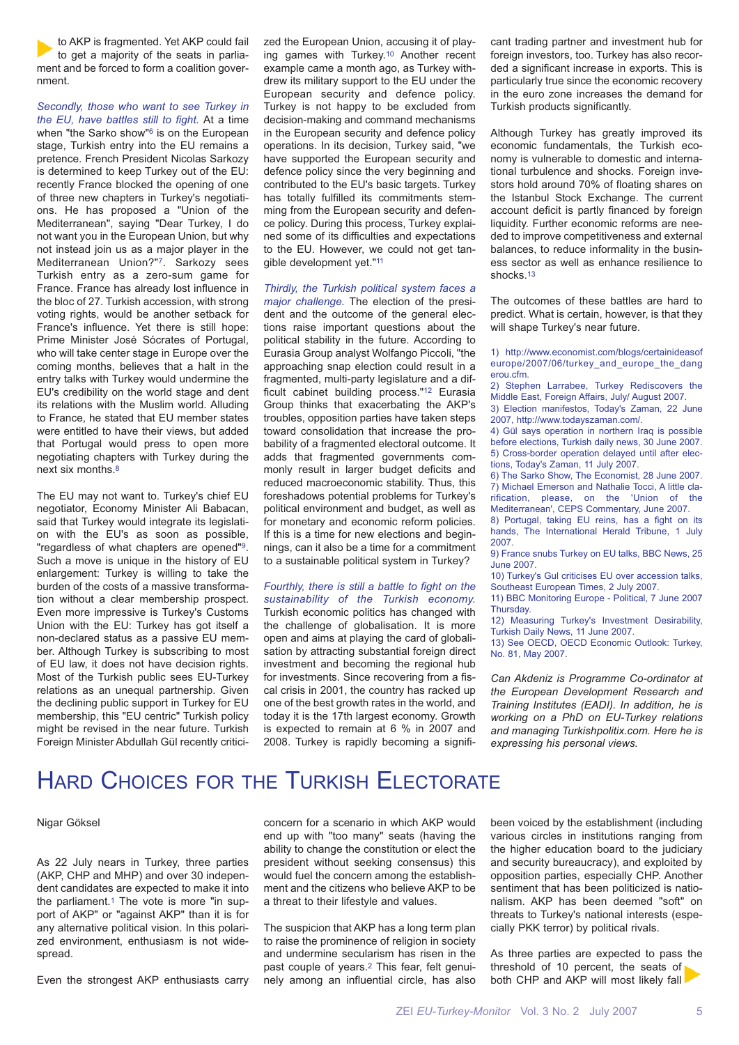to AKP is fragmented. Yet AKP could fail to get a majority of the seats in parliament and be forced to form a coalition government.

*Secondly, those who want to see Turkey in the EU, have battles still to fight.* At a time when "the Sarko show"6 is on the European stage, Turkish entry into the EU remains a pretence. French President Nicolas Sarkozy is determined to keep Turkey out of the EU: recently France blocked the opening of one of three new chapters in Turkey's negotiations. He has proposed a "Union of the Mediterranean", saying "Dear Turkey, I do not want you in the European Union, but why not instead join us as a major player in the Mediterranean Union?"7. Sarkozy sees Turkish entry as a zero-sum game for France. France has already lost influence in the bloc of 27. Turkish accession, with strong voting rights, would be another setback for France's influence. Yet there is still hope: Prime Minister José Sócrates of Portugal, who will take center stage in Europe over the coming months, believes that a halt in the entry talks with Turkey would undermine the EU's credibility on the world stage and dent its relations with the Muslim world. Alluding to France, he stated that EU member states were entitled to have their views, but added that Portugal would press to open more negotiating chapters with Turkey during the next six months.8

The EU may not want to. Turkey's chief EU negotiator, Economy Minister Ali Babacan, said that Turkey would integrate its legislation with the EU's as soon as possible, "regardless of what chapters are opened"9. Such a move is unique in the history of EU enlargement: Turkey is willing to take the burden of the costs of a massive transformation without a clear membership prospect. Even more impressive is Turkey's Customs Union with the EU: Turkey has got itself a non-declared status as a passive EU member. Although Turkey is subscribing to most of EU law, it does not have decision rights. Most of the Turkish public sees EU-Turkey relations as an unequal partnership. Given the declining public support in Turkey for EU membership, this "EU centric" Turkish policy might be revised in the near future. Turkish Foreign Minister Abdullah Gül recently criticized the European Union, accusing it of playing games with Turkey.10 Another recent example came a month ago, as Turkey withdrew its military support to the EU under the European security and defence policy. Turkey is not happy to be excluded from decision-making and command mechanisms in the European security and defence policy operations. In its decision, Turkey said, "we have supported the European security and defence policy since the very beginning and contributed to the EU's basic targets. Turkey has totally fulfilled its commitments stemming from the European security and defence policy. During this process, Turkey explained some of its difficulties and expectations to the EU. However, we could not get tangible development yet."11

*Thirdly, the Turkish political system faces a*

*major challenge.* The election of the president and the outcome of the general elections raise important questions about the political stability in the future. According to Eurasia Group analyst Wolfango Piccoli, "the approaching snap election could result in a fragmented, multi-party legislature and a difficult cabinet building process."12 Eurasia Group thinks that exacerbating the AKP's troubles, opposition parties have taken steps toward consolidation that increase the probability of a fragmented electoral outcome. It adds that fragmented governments commonly result in larger budget deficits and reduced macroeconomic stability. Thus, this foreshadows potential problems for Turkey's political environment and budget, as well as for monetary and economic reform policies. If this is a time for new elections and beginnings, can it also be a time for a commitment to a sustainable political system in Turkey?

*Fourthly, there is still a battle to fight on the sustainability of the Turkish economy.* Turkish economic politics has changed with the challenge of globalisation. It is more open and aims at playing the card of globalisation by attracting substantial foreign direct investment and becoming the regional hub for investments. Since recovering from a fiscal crisis in 2001, the country has racked up one of the best growth rates in the world, and today it is the 17th largest economy. Growth is expected to remain at 6 % in 2007 and 2008. Turkey is rapidly becoming a significant trading partner and investment hub for foreign investors, too. Turkey has also recorded a significant increase in exports. This is particularly true since the economic recovery in the euro zone increases the demand for Turkish products significantly.

Although Turkey has greatly improved its economic fundamentals, the Turkish economy is vulnerable to domestic and international turbulence and shocks. Foreign investors hold around 70% of floating shares on the Istanbul Stock Exchange. The current account deficit is partly financed by foreign liquidity. Further economic reforms are needed to improve competitiveness and external balances, to reduce informality in the business sector as well as enhance resilience to shocks.13

The outcomes of these battles are hard to predict. What is certain, however, is that they will shape Turkey's near future.

1) http://www.economist.com/blogs/certainideasof europe/2007/06/turkey\_and\_europe\_the\_dang erou.cfm.

2) Stephen Larrabee, Turkey Rediscovers the Middle East, Foreign Affairs, July/ August 2007.

3) Election manifestos, Today's Zaman, 22 June 2007, http://www.todayszaman.com/.

4) Gül says operation in northern Iraq is possible before elections, Turkish daily news, 30 June 2007. 5) Cross-border operation delayed until after elections, Today's Zaman, 11 July 2007.

6) The Sarko Show, The Economist, 28 June 2007. 7) Michael Emerson and Nathalie Tocci, A little clarification, please, on the 'Union of the Mediterranean', CEPS Commentary, June 2007.

8) Portugal, taking EU reins, has a fight on its hands, The International Herald Tribune, 1 July 2007.

9) France snubs Turkey on EU talks, BBC News, 25 June 2007.

10) Turkey's Gul criticises EU over accession talks, Southeast European Times, 2 July 2007.

11) BBC Monitoring Europe - Political, 7 June 2007 Thursday.

12) Measuring Turkey's Investment Desirability, Turkish Daily News, 11 June 2007.

13) See OECD, OECD Economic Outlook: Turkey, No. 81, May 2007.

*Can Akdeniz is Programme Co-ordinator at the European Development Research and Training Institutes (EADI). In addition, he is working on a PhD on EU-Turkey relations and managing Turkishpolitix.com. Here he is expressing his personal views.*

## HARD CHOICES FOR THE TURKISH ELECTORATE

#### Nigar Göksel

As 22 July nears in Turkey, three parties (AKP, CHP and MHP) and over 30 independent candidates are expected to make it into the parliament.1 The vote is more "in support of AKP" or "against AKP" than it is for any alternative political vision. In this polarized environment, enthusiasm is not widespread.

Even the strongest AKP enthusiasts carry

concern for a scenario in which AKP would end up with "too many" seats (having the ability to change the constitution or elect the president without seeking consensus) this would fuel the concern among the establishment and the citizens who believe AKP to be a threat to their lifestyle and values.

The suspicion that AKP has a long term plan to raise the prominence of religion in society and undermine secularism has risen in the past couple of years.2 This fear, felt genuinely among an influential circle, has also been voiced by the establishment (including various circles in institutions ranging from the higher education board to the judiciary and security bureaucracy), and exploited by opposition parties, especially CHP. Another sentiment that has been politicized is nationalism. AKP has been deemed "soft" on threats to Turkey's national interests (especially PKK terror) by political rivals.

As three parties are expected to pass the threshold of 10 percent, the seats of both CHP and AKP will most likely fall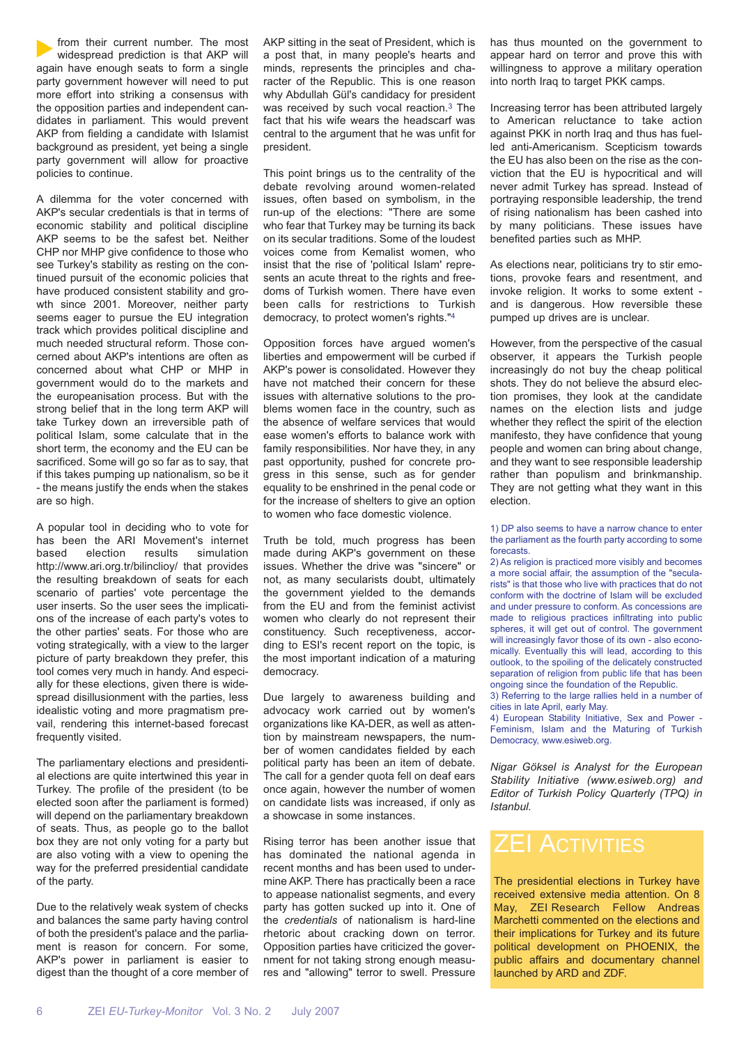from their current number. The most widespread prediction is that AKP will again have enough seats to form a single party government however will need to put more effort into striking a consensus with the opposition parties and independent candidates in parliament. This would prevent AKP from fielding a candidate with Islamist background as president, yet being a single party government will allow for proactive policies to continue.

A dilemma for the voter concerned with AKP's secular credentials is that in terms of economic stability and political discipline AKP seems to be the safest bet. Neither CHP nor MHP give confidence to those who see Turkey's stability as resting on the continued pursuit of the economic policies that have produced consistent stability and growth since 2001. Moreover, neither party seems eager to pursue the EU integration track which provides political discipline and much needed structural reform. Those concerned about AKP's intentions are often as concerned about what CHP or MHP in government would do to the markets and the europeanisation process. But with the strong belief that in the long term AKP will take Turkey down an irreversible path of political Islam, some calculate that in the short term, the economy and the EU can be sacrificed. Some will go so far as to say, that if this takes pumping up nationalism, so be it - the means justify the ends when the stakes are so high.

A popular tool in deciding who to vote for has been the ARI Movement's internet based election results simulation http://www.ari.org.tr/bilinclioy/ that provides the resulting breakdown of seats for each scenario of parties' vote percentage the user inserts. So the user sees the implications of the increase of each party's votes to the other parties' seats. For those who are voting strategically, with a view to the larger picture of party breakdown they prefer, this tool comes very much in handy. And especially for these elections, given there is widespread disillusionment with the parties, less idealistic voting and more pragmatism prevail, rendering this internet-based forecast frequently visited.

The parliamentary elections and presidential elections are quite intertwined this year in Turkey. The profile of the president (to be elected soon after the parliament is formed) will depend on the parliamentary breakdown of seats. Thus, as people go to the ballot box they are not only voting for a party but are also voting with a view to opening the way for the preferred presidential candidate of the party.

Due to the relatively weak system of checks and balances the same party having control of both the president's palace and the parliament is reason for concern. For some, AKP's power in parliament is easier to digest than the thought of a core member of AKP sitting in the seat of President, which is a post that, in many people's hearts and minds, represents the principles and character of the Republic. This is one reason why Abdullah Gül's candidacy for president was received by such vocal reaction.3 The fact that his wife wears the headscarf was central to the argument that he was unfit for president.

This point brings us to the centrality of the debate revolving around women-related issues, often based on symbolism, in the run-up of the elections: "There are some who fear that Turkey may be turning its back on its secular traditions. Some of the loudest voices come from Kemalist women, who insist that the rise of 'political Islam' represents an acute threat to the rights and freedoms of Turkish women. There have even been calls for restrictions to Turkish democracy, to protect women's rights."4

Opposition forces have argued women's liberties and empowerment will be curbed if AKP's power is consolidated. However they have not matched their concern for these issues with alternative solutions to the problems women face in the country, such as the absence of welfare services that would ease women's efforts to balance work with family responsibilities. Nor have they, in any past opportunity, pushed for concrete progress in this sense, such as for gender equality to be enshrined in the penal code or for the increase of shelters to give an option to women who face domestic violence.

Truth be told, much progress has been made during AKP's government on these issues. Whether the drive was "sincere" or not, as many secularists doubt, ultimately the government yielded to the demands from the EU and from the feminist activist women who clearly do not represent their constituency. Such receptiveness, according to ESI's recent report on the topic, is the most important indication of a maturing democracy.

Due largely to awareness building and advocacy work carried out by women's organizations like KA-DER, as well as attention by mainstream newspapers, the number of women candidates fielded by each political party has been an item of debate. The call for a gender quota fell on deaf ears once again, however the number of women on candidate lists was increased, if only as a showcase in some instances.

Rising terror has been another issue that has dominated the national agenda in recent months and has been used to undermine AKP. There has practically been a race to appease nationalist segments, and every party has gotten sucked up into it. One of the *credentials* of nationalism is hard-line rhetoric about cracking down on terror. Opposition parties have criticized the government for not taking strong enough measures and "allowing" terror to swell. Pressure has thus mounted on the government to appear hard on terror and prove this with willingness to approve a military operation into north Iraq to target PKK camps.

Increasing terror has been attributed largely to American reluctance to take action against PKK in north Iraq and thus has fuelled anti-Americanism. Scepticism towards the EU has also been on the rise as the conviction that the EU is hypocritical and will never admit Turkey has spread. Instead of portraying responsible leadership, the trend of rising nationalism has been cashed into by many politicians. These issues have benefited parties such as MHP.

As elections near, politicians try to stir emotions, provoke fears and resentment, and invoke religion. It works to some extent and is dangerous. How reversible these pumped up drives are is unclear.

However, from the perspective of the casual observer, it appears the Turkish people increasingly do not buy the cheap political shots. They do not believe the absurd election promises, they look at the candidate names on the election lists and judge whether they reflect the spirit of the election manifesto, they have confidence that young people and women can bring about change, and they want to see responsible leadership rather than populism and brinkmanship. They are not getting what they want in this election.

1) DP also seems to have a narrow chance to enter the parliament as the fourth party according to some forecasts.

2) As religion is practiced more visibly and becomes a more social affair, the assumption of the "secularists" is that those who live with practices that do not conform with the doctrine of Islam will be excluded and under pressure to conform. As concessions are made to religious practices infiltrating into public spheres, it will get out of control. The government will increasingly favor those of its own - also economically. Eventually this will lead, according to this outlook, to the spoiling of the delicately constructed separation of religion from public life that has been ongoing since the foundation of the Republic.

3) Referring to the large rallies held in a number of cities in late April, early May.

4) European Stability Initiative, Sex and Power - Feminism, Islam and the Maturing of Turkish Democracy, www.esiweb.org.

*Nigar Göksel is Analyst for the European Stability Initiative (www.esiweb.org) and Editor of Turkish Policy Quarterly (TPQ) in Istanbul.*

The presidential elections in Turkey have received extensive media attention. On 8 May, ZEI Research Fellow Andreas Marchetti commented on the elections and their implications for Turkey and its future political development on PHOENIX, the public affairs and documentary channel launched by ARD and ZDF.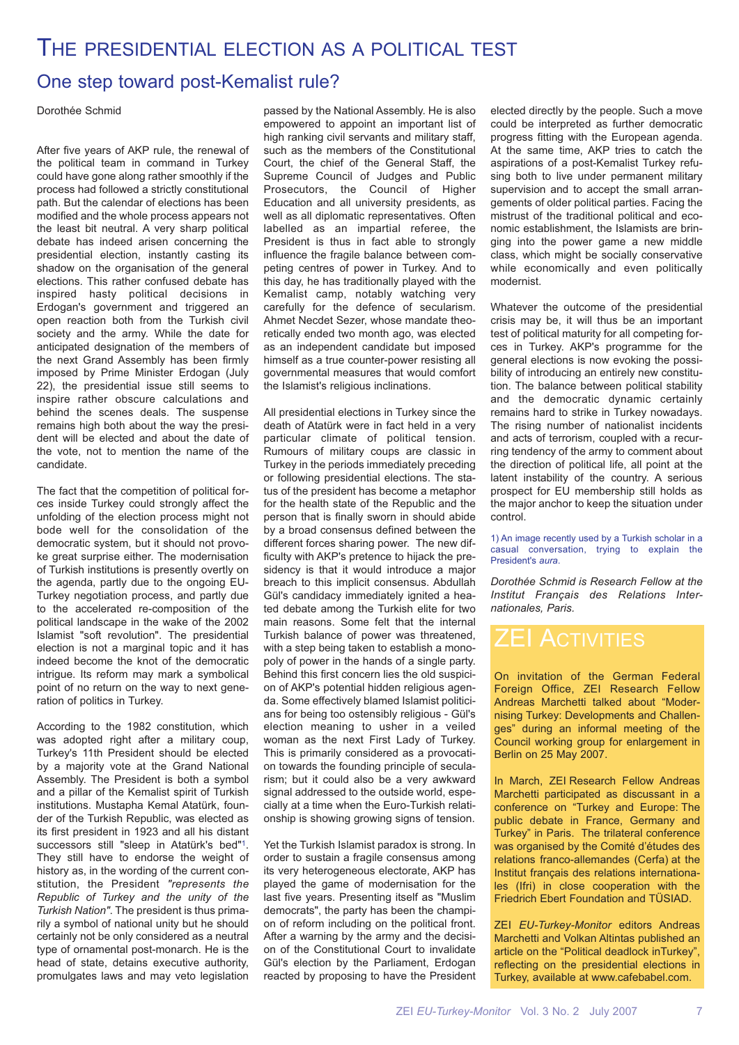### THE PRESIDENTIAL ELECTION AS A POLITICAL TEST

### One step toward post-Kemalist rule?

Dorothée Schmid

After five years of AKP rule, the renewal of the political team in command in Turkey could have gone along rather smoothly if the process had followed a strictly constitutional path. But the calendar of elections has been modified and the whole process appears not the least bit neutral. A very sharp political debate has indeed arisen concerning the presidential election, instantly casting its shadow on the organisation of the general elections. This rather confused debate has inspired hasty political decisions in Erdogan's government and triggered an open reaction both from the Turkish civil society and the army. While the date for anticipated designation of the members of the next Grand Assembly has been firmly imposed by Prime Minister Erdogan (July 22), the presidential issue still seems to inspire rather obscure calculations and behind the scenes deals. The suspense remains high both about the way the president will be elected and about the date of the vote, not to mention the name of the candidate.

The fact that the competition of political forces inside Turkey could strongly affect the unfolding of the election process might not bode well for the consolidation of the democratic system, but it should not provoke great surprise either. The modernisation of Turkish institutions is presently overtly on the agenda, partly due to the ongoing EU-Turkey negotiation process, and partly due to the accelerated re-composition of the political landscape in the wake of the 2002 Islamist "soft revolution". The presidential election is not a marginal topic and it has indeed become the knot of the democratic intrigue. Its reform may mark a symbolical point of no return on the way to next generation of politics in Turkey.

According to the 1982 constitution, which was adopted right after a military coup, Turkey's 11th President should be elected by a majority vote at the Grand National Assembly. The President is both a symbol and a pillar of the Kemalist spirit of Turkish institutions. Mustapha Kemal Atatürk, founder of the Turkish Republic, was elected as its first president in 1923 and all his distant successors still "sleep in Atatürk's bed"1. They still have to endorse the weight of history as, in the wording of the current constitution, the President *"represents the Republic of Turkey and the unity of the Turkish Nation"*. The president is thus primarily a symbol of national unity but he should certainly not be only considered as a neutral type of ornamental post-monarch. He is the head of state, detains executive authority, promulgates laws and may veto legislation

passed by the National Assembly. He is also empowered to appoint an important list of high ranking civil servants and military staff. such as the members of the Constitutional Court, the chief of the General Staff, the Supreme Council of Judges and Public Prosecutors, the Council of Higher Education and all university presidents, as well as all diplomatic representatives. Often labelled as an impartial referee, the President is thus in fact able to strongly influence the fragile balance between competing centres of power in Turkey. And to this day, he has traditionally played with the Kemalist camp, notably watching very carefully for the defence of secularism. Ahmet Necdet Sezer, whose mandate theoretically ended two month ago, was elected as an independent candidate but imposed himself as a true counter-power resisting all governmental measures that would comfort the Islamist's religious inclinations.

All presidential elections in Turkey since the death of Atatürk were in fact held in a very particular climate of political tension. Rumours of military coups are classic in Turkey in the periods immediately preceding or following presidential elections. The status of the president has become a metaphor for the health state of the Republic and the person that is finally sworn in should abide by a broad consensus defined between the different forces sharing power. The new difficulty with AKP's pretence to hijack the presidency is that it would introduce a major breach to this implicit consensus. Abdullah Gül's candidacy immediately ignited a heated debate among the Turkish elite for two main reasons. Some felt that the internal Turkish balance of power was threatened, with a step being taken to establish a monopoly of power in the hands of a single party. Behind this first concern lies the old suspicion of AKP's potential hidden religious agenda. Some effectively blamed Islamist politicians for being too ostensibly religious - Gül's election meaning to usher in a veiled woman as the next First Lady of Turkey. This is primarily considered as a provocation towards the founding principle of secularism; but it could also be a very awkward signal addressed to the outside world, especially at a time when the Euro-Turkish relationship is showing growing signs of tension.

Yet the Turkish Islamist paradox is strong. In order to sustain a fragile consensus among its very heterogeneous electorate, AKP has played the game of modernisation for the last five years. Presenting itself as "Muslim democrats", the party has been the champion of reform including on the political front. After a warning by the army and the decision of the Constitutional Court to invalidate Gül's election by the Parliament, Erdogan reacted by proposing to have the President elected directly by the people. Such a move could be interpreted as further democratic progress fitting with the European agenda. At the same time, AKP tries to catch the aspirations of a post-Kemalist Turkey refusing both to live under permanent military supervision and to accept the small arrangements of older political parties. Facing the mistrust of the traditional political and economic establishment, the Islamists are bringing into the power game a new middle class, which might be socially conservative while economically and even politically modernist.

Whatever the outcome of the presidential crisis may be, it will thus be an important test of political maturity for all competing forces in Turkey. AKP's programme for the general elections is now evoking the possibility of introducing an entirely new constitution. The balance between political stability and the democratic dynamic certainly remains hard to strike in Turkey nowadays. The rising number of nationalist incidents and acts of terrorism, coupled with a recurring tendency of the army to comment about the direction of political life, all point at the latent instability of the country. A serious prospect for EU membership still holds as the major anchor to keep the situation under control.

1) An image recently used by a Turkish scholar in a casual conversation, trying to explain the President's *aura*.

*Dorothée Schmid is Research Fellow at the Institut Français des Relations Internationales, Paris.*

### **ZEI ACTIVITIES**

On invitation of the German Federal Foreign Office, ZEI Research Fellow Andreas Marchetti talked about "Modernising Turkey: Developments and Challenges" during an informal meeting of the Council working group for enlargement in Berlin on 25 May 2007.

In March, ZEI Research Fellow Andreas Marchetti participated as discussant in a conference on "Turkey and Europe: The public debate in France, Germany and Turkey" in Paris. The trilateral conference was organised by the Comité d'études des relations franco-allemandes (Cerfa) at the Institut français des relations internationales (Ifri) in close cooperation with the Friedrich Ebert Foundation and TÜSIAD.

ZEI *EU-Turkey-Monitor* editors Andreas Marchetti and Volkan Altintas published an article on the "Political deadlock inTurkey", reflecting on the presidential elections in Turkey, available at www.cafebabel.com.